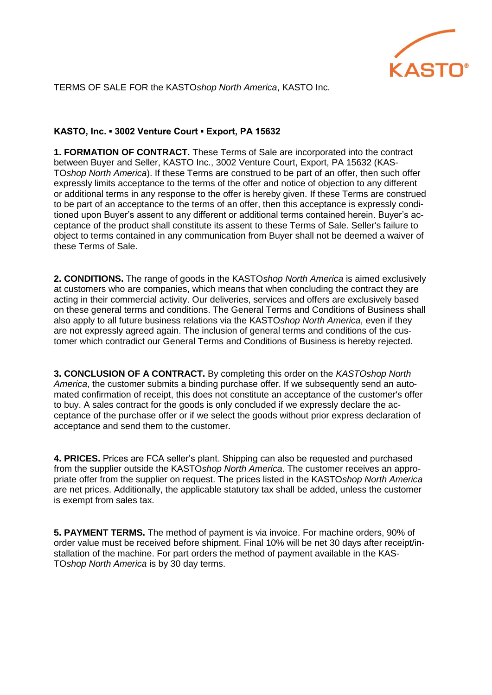

TERMS OF SALE FOR the KASTO*shop North America*, KASTO Inc.

## **KASTO, Inc. ▪ 3002 Venture Court ▪ Export, PA 15632**

**1. FORMATION OF CONTRACT.** These Terms of Sale are incorporated into the contract between Buyer and Seller, KASTO Inc., 3002 Venture Court, Export, PA 15632 (KAS-TO*shop North America*). If these Terms are construed to be part of an offer, then such offer expressly limits acceptance to the terms of the offer and notice of objection to any different or additional terms in any response to the offer is hereby given. If these Terms are construed to be part of an acceptance to the terms of an offer, then this acceptance is expressly conditioned upon Buyer's assent to any different or additional terms contained herein. Buyer's acceptance of the product shall constitute its assent to these Terms of Sale. Seller's failure to object to terms contained in any communication from Buyer shall not be deemed a waiver of these Terms of Sale.

**2. CONDITIONS.** The range of goods in the KASTO*shop North America* is aimed exclusively at customers who are companies, which means that when concluding the contract they are acting in their commercial activity. Our deliveries, services and offers are exclusively based on these general terms and conditions. The General Terms and Conditions of Business shall also apply to all future business relations via the KASTO*shop North America*, even if they are not expressly agreed again. The inclusion of general terms and conditions of the customer which contradict our General Terms and Conditions of Business is hereby rejected.

**3. CONCLUSION OF A CONTRACT.** By completing this order on the *KASTOshop North America*, the customer submits a binding purchase offer. If we subsequently send an automated confirmation of receipt, this does not constitute an acceptance of the customer's offer to buy. A sales contract for the goods is only concluded if we expressly declare the acceptance of the purchase offer or if we select the goods without prior express declaration of acceptance and send them to the customer.

**4. PRICES.** Prices are FCA seller's plant. Shipping can also be requested and purchased from the supplier outside the KASTO*shop North America*. The customer receives an appropriate offer from the supplier on request. The prices listed in the KASTO*shop North America*  are net prices. Additionally, the applicable statutory tax shall be added, unless the customer is exempt from sales tax.

**5. PAYMENT TERMS.** The method of payment is via invoice. For machine orders, 90% of order value must be received before shipment. Final 10% will be net 30 days after receipt/installation of the machine. For part orders the method of payment available in the KAS-TO*shop North America* is by 30 day terms.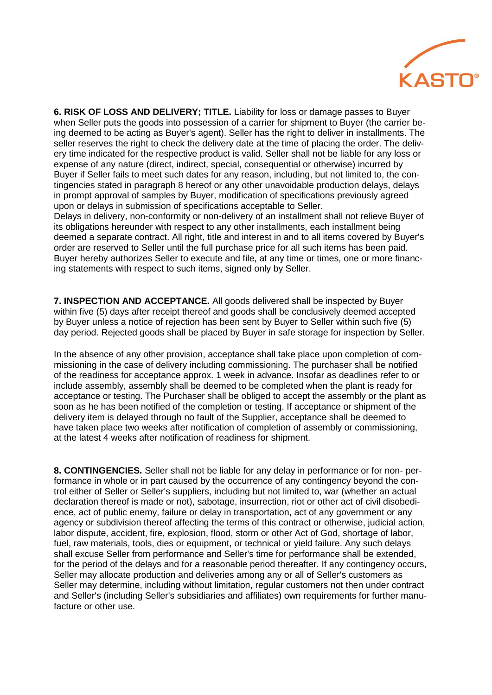

**6. RISK OF LOSS AND DELIVERY; TITLE.** Liability for loss or damage passes to Buyer when Seller puts the goods into possession of a carrier for shipment to Buyer (the carrier being deemed to be acting as Buyer's agent). Seller has the right to deliver in installments. The seller reserves the right to check the delivery date at the time of placing the order. The delivery time indicated for the respective product is valid. Seller shall not be liable for any loss or expense of any nature (direct, indirect, special, consequential or otherwise) incurred by Buyer if Seller fails to meet such dates for any reason, including, but not limited to, the contingencies stated in paragraph 8 hereof or any other unavoidable production delays, delays in prompt approval of samples by Buyer, modification of specifications previously agreed upon or delays in submission of specifications acceptable to Seller.

Delays in delivery, non-conformity or non-delivery of an installment shall not relieve Buyer of its obligations hereunder with respect to any other installments, each installment being deemed a separate contract. All right, title and interest in and to all items covered by Buyer's order are reserved to Seller until the full purchase price for all such items has been paid. Buyer hereby authorizes Seller to execute and file, at any time or times, one or more financing statements with respect to such items, signed only by Seller.

**7. INSPECTION AND ACCEPTANCE.** All goods delivered shall be inspected by Buyer within five (5) days after receipt thereof and goods shall be conclusively deemed accepted by Buyer unless a notice of rejection has been sent by Buyer to Seller within such five (5) day period. Rejected goods shall be placed by Buyer in safe storage for inspection by Seller.

In the absence of any other provision, acceptance shall take place upon completion of commissioning in the case of delivery including commissioning. The purchaser shall be notified of the readiness for acceptance approx. 1 week in advance. Insofar as deadlines refer to or include assembly, assembly shall be deemed to be completed when the plant is ready for acceptance or testing. The Purchaser shall be obliged to accept the assembly or the plant as soon as he has been notified of the completion or testing. If acceptance or shipment of the delivery item is delayed through no fault of the Supplier, acceptance shall be deemed to have taken place two weeks after notification of completion of assembly or commissioning, at the latest 4 weeks after notification of readiness for shipment.

**8. CONTINGENCIES.** Seller shall not be liable for any delay in performance or for non- performance in whole or in part caused by the occurrence of any contingency beyond the control either of Seller or Seller's suppliers, including but not limited to, war (whether an actual declaration thereof is made or not), sabotage, insurrection, riot or other act of civil disobedience, act of public enemy, failure or delay in transportation, act of any government or any agency or subdivision thereof affecting the terms of this contract or otherwise, judicial action, labor dispute, accident, fire, explosion, flood, storm or other Act of God, shortage of labor, fuel, raw materials, tools, dies or equipment, or technical or yield failure. Any such delays shall excuse Seller from performance and Seller's time for performance shall be extended, for the period of the delays and for a reasonable period thereafter. If any contingency occurs, Seller may allocate production and deliveries among any or all of Seller's customers as Seller may determine, including without limitation, regular customers not then under contract and Seller's (including Seller's subsidiaries and affiliates) own requirements for further manufacture or other use.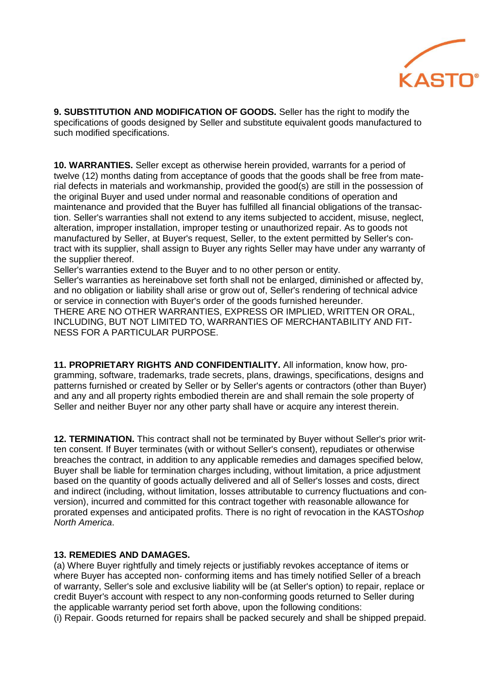

**9. SUBSTITUTION AND MODIFICATION OF GOODS.** Seller has the right to modify the specifications of goods designed by Seller and substitute equivalent goods manufactured to such modified specifications.

**10. WARRANTIES.** Seller except as otherwise herein provided, warrants for a period of twelve (12) months dating from acceptance of goods that the goods shall be free from material defects in materials and workmanship, provided the good(s) are still in the possession of the original Buyer and used under normal and reasonable conditions of operation and maintenance and provided that the Buyer has fulfilled all financial obligations of the transaction. Seller's warranties shall not extend to any items subjected to accident, misuse, neglect, alteration, improper installation, improper testing or unauthorized repair. As to goods not manufactured by Seller, at Buyer's request, Seller, to the extent permitted by Seller's contract with its supplier, shall assign to Buyer any rights Seller may have under any warranty of the supplier thereof.

Seller's warranties extend to the Buyer and to no other person or entity.

Seller's warranties as hereinabove set forth shall not be enlarged, diminished or affected by, and no obligation or liability shall arise or grow out of, Seller's rendering of technical advice or service in connection with Buyer's order of the goods furnished hereunder. THERE ARE NO OTHER WARRANTIES, EXPRESS OR IMPLIED, WRITTEN OR ORAL, INCLUDING, BUT NOT LIMITED TO, WARRANTIES OF MERCHANTABILITY AND FIT-NESS FOR A PARTICULAR PURPOSE.

**11. PROPRIETARY RIGHTS AND CONFIDENTIALITY.** All information, know how, programming, software, trademarks, trade secrets, plans, drawings, specifications, designs and patterns furnished or created by Seller or by Seller's agents or contractors (other than Buyer) and any and all property rights embodied therein are and shall remain the sole property of Seller and neither Buyer nor any other party shall have or acquire any interest therein.

**12. TERMINATION.** This contract shall not be terminated by Buyer without Seller's prior written consent. If Buyer terminates (with or without Seller's consent), repudiates or otherwise breaches the contract, in addition to any applicable remedies and damages specified below, Buyer shall be liable for termination charges including, without limitation, a price adjustment based on the quantity of goods actually delivered and all of Seller's losses and costs, direct and indirect (including, without limitation, losses attributable to currency fluctuations and conversion), incurred and committed for this contract together with reasonable allowance for prorated expenses and anticipated profits. There is no right of revocation in the KASTO*shop North America*.

## **13. REMEDIES AND DAMAGES.**

(a) Where Buyer rightfully and timely rejects or justifiably revokes acceptance of items or where Buyer has accepted non- conforming items and has timely notified Seller of a breach of warranty, Seller's sole and exclusive liability will be (at Seller's option) to repair, replace or credit Buyer's account with respect to any non-conforming goods returned to Seller during the applicable warranty period set forth above, upon the following conditions: (i) Repair. Goods returned for repairs shall be packed securely and shall be shipped prepaid.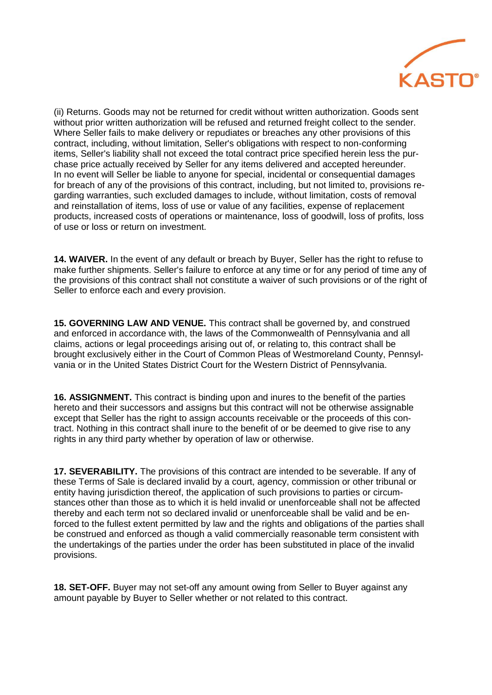

(ii) Returns. Goods may not be returned for credit without written authorization. Goods sent without prior written authorization will be refused and returned freight collect to the sender. Where Seller fails to make delivery or repudiates or breaches any other provisions of this contract, including, without limitation, Seller's obligations with respect to non-conforming items, Seller's liability shall not exceed the total contract price specified herein less the purchase price actually received by Seller for any items delivered and accepted hereunder. In no event will Seller be liable to anyone for special, incidental or consequential damages for breach of any of the provisions of this contract, including, but not limited to, provisions regarding warranties, such excluded damages to include, without limitation, costs of removal and reinstallation of items, loss of use or value of any facilities, expense of replacement products, increased costs of operations or maintenance, loss of goodwill, loss of profits, loss of use or loss or return on investment.

**14. WAIVER.** In the event of any default or breach by Buyer, Seller has the right to refuse to make further shipments. Seller's failure to enforce at any time or for any period of time any of the provisions of this contract shall not constitute a waiver of such provisions or of the right of Seller to enforce each and every provision.

**15. GOVERNING LAW AND VENUE.** This contract shall be governed by, and construed and enforced in accordance with, the laws of the Commonwealth of Pennsylvania and all claims, actions or legal proceedings arising out of, or relating to, this contract shall be brought exclusively either in the Court of Common Pleas of Westmoreland County, Pennsylvania or in the United States District Court for the Western District of Pennsylvania.

**16. ASSIGNMENT.** This contract is binding upon and inures to the benefit of the parties hereto and their successors and assigns but this contract will not be otherwise assignable except that Seller has the right to assign accounts receivable or the proceeds of this contract. Nothing in this contract shall inure to the benefit of or be deemed to give rise to any rights in any third party whether by operation of law or otherwise.

**17. SEVERABILITY.** The provisions of this contract are intended to be severable. If any of these Terms of Sale is declared invalid by a court, agency, commission or other tribunal or entity having jurisdiction thereof, the application of such provisions to parties or circumstances other than those as to which it is held invalid or unenforceable shall not be affected thereby and each term not so declared invalid or unenforceable shall be valid and be enforced to the fullest extent permitted by law and the rights and obligations of the parties shall be construed and enforced as though a valid commercially reasonable term consistent with the undertakings of the parties under the order has been substituted in place of the invalid provisions.

**18. SET-OFF.** Buyer may not set-off any amount owing from Seller to Buyer against any amount payable by Buyer to Seller whether or not related to this contract.